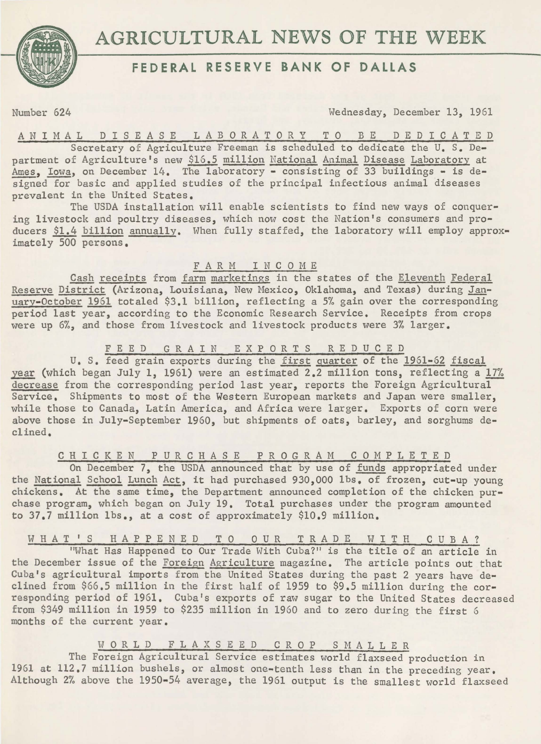

# **FEDERAL RESERVE BANK OF DALLAS**

Number 624 Wednesday, December 13, 1961

ANIMAL D I S E A S E LABORATORY T 0 B E D E D I C A T E D

Secretary of Agriculture Freeman is scheduled to dedicate the U. S. Department of Agriculture's new \$16.5 million National Animal Disease Laboratory at Ames. Iowa, on December 14. The laboratory - consisting of 33 buildings - is designed for basic and applied studies of the principal infectious animal diseases prevalent in the United States.

The USDA installation will enable scientists to find new ways of conquering livestock and poultry diseases, which now cost the Nation's consumers and producers \$1.4 billion annually. When fully staffed, the laboratory will employ approximately 500 persons.

## FARM INCOME

Cash receipts from farm marketings in the states of the Eleventh Federal Reserve District (Arizona, Louisiana, New Mexico, Oklahoma, and Texas) during January-October 1961 totaled \$3.1 billion, reflecting a 5% gain over the corresponding period last year, according to the Economic Research Service. Receipts from crops were up 6%, and those from livestock and livestock products were 3% larger.

### F E E D G R A I N E X P 0 R T S R E D U C E D

u. s. feed grain exports during the first guarter of the 1961-62 fiscal year (which began July 1, 1961) were an estimated 2.2 million tons, reflecting a 17% decrease from the corresponding period last year, reports the Foreign Agricultural Service, Shipments to most of the Western European markets and Japan were smaller, while those to Canada, Latin America, and Africa were larger. Exports of corn were above those in July-September 1960, but shipments of oats, barley, and sorghums declined.

C H I C K E N P U R C H *A* S E PROGRAM COMPLETED

On December 7, the USDA announced that by use of funds appropriated under the National School Lunch Act, it had purchased 930,000 lbs, of frozen, cut-up young chickens. At the same time, the Department announced completion of the chicken purchase program, which began on July 19, Total purchases under the program amounted to 37.7 million lbs., at a cost of approximately \$10.9 million,

W H A T ' S H A P P E N E D T O OUR T R A D E W I T H C U B A ?

"What Has Happened to Our Trade With Cuba?" is the title of an article in the December issue of the Foreign Agriculture magazine, The article points out that Cuba's agricultural imports from the United States during the past 2 years have declined from \$66,5 million in the first half of 1959 to \$9.5 million during the corresponding period of 1961. Cuba's exports of raw sugar to the United States decreased from \$349 million in 1959 to \$235 million in 1960 and to zero during the first 6 months of the current year.

## W 0 R L D F L A X S E E D C R 0 P S M A L L E R

The Foreign Agricultural Service estimates world flaxseed production in 1961 at 112.7 million bushels, or almost one-tenth less than in the preceding year, Although 2% above the 1950-54 average, the 1961 output is the smallest world flaxseed